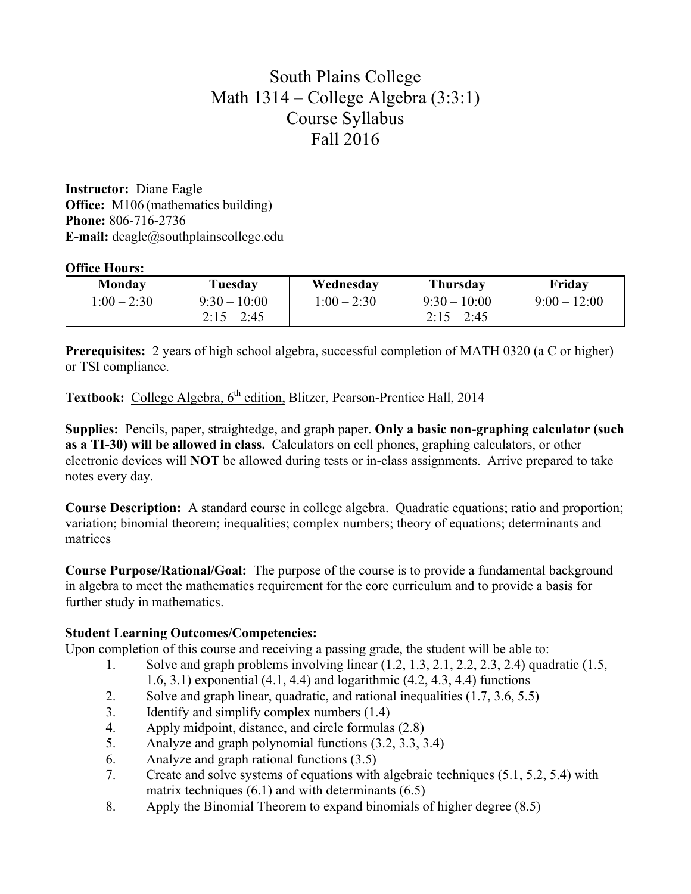# South Plains College Math 1314 – College Algebra (3:3:1) Course Syllabus Fall 2016

**Instructor:** Diane Eagle **Office:** M106 (mathematics building) **Phone:** 806-716-2736 **E-mail:** deagle@southplainscollege.edu

### **Office Hours:**

| <b>Monday</b> | Tuesday       | Wednesday     | Thursdav      | Friday       |
|---------------|---------------|---------------|---------------|--------------|
| $1:00 - 2:30$ | $9:30-10:00$  | $1:00 - 2:30$ | $9:30-10:00$  | $9:00-12:00$ |
|               | $2:15 - 2:45$ |               | $2:15 - 2:45$ |              |

**Prerequisites:** 2 years of high school algebra, successful completion of MATH 0320 (a C or higher) or TSI compliance.

**Textbook:** College Algebra, 6<sup>th</sup> edition, Blitzer, Pearson-Prentice Hall, 2014

**Supplies:** Pencils, paper, straightedge, and graph paper. **Only a basic non-graphing calculator (such as a TI-30) will be allowed in class.** Calculators on cell phones, graphing calculators, or other electronic devices will **NOT** be allowed during tests or in-class assignments. Arrive prepared to take notes every day.

**Course Description:** A standard course in college algebra. Quadratic equations; ratio and proportion; variation; binomial theorem; inequalities; complex numbers; theory of equations; determinants and matrices

**Course Purpose/Rational/Goal:** The purpose of the course is to provide a fundamental background in algebra to meet the mathematics requirement for the core curriculum and to provide a basis for further study in mathematics.

## **Student Learning Outcomes/Competencies:**

Upon completion of this course and receiving a passing grade, the student will be able to:

- 1. Solve and graph problems involving linear (1.2, 1.3, 2.1, 2.2, 2.3, 2.4) quadratic (1.5, 1.6, 3.1) exponential (4.1, 4.4) and logarithmic (4.2, 4.3, 4.4) functions
- 2. Solve and graph linear, quadratic, and rational inequalities (1.7, 3.6, 5.5)
- 3. Identify and simplify complex numbers (1.4)
- 4. Apply midpoint, distance, and circle formulas (2.8)
- 5. Analyze and graph polynomial functions (3.2, 3.3, 3.4)
- 6. Analyze and graph rational functions (3.5)
- 7. Create and solve systems of equations with algebraic techniques (5.1, 5.2, 5.4) with matrix techniques  $(6.1)$  and with determinants  $(6.5)$
- 8. Apply the Binomial Theorem to expand binomials of higher degree (8.5)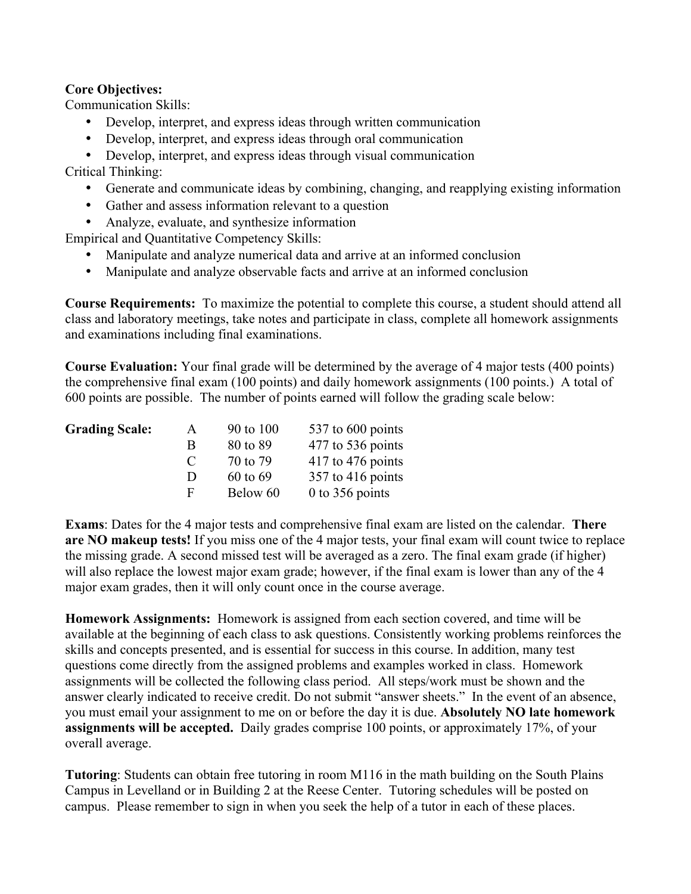### **Core Objectives:**

Communication Skills:

- Develop, interpret, and express ideas through written communication
- Develop, interpret, and express ideas through oral communication

• Develop, interpret, and express ideas through visual communication

Critical Thinking:

- Generate and communicate ideas by combining, changing, and reapplying existing information
- Gather and assess information relevant to a question
- Analyze, evaluate, and synthesize information

Empirical and Quantitative Competency Skills:

- Manipulate and analyze numerical data and arrive at an informed conclusion
- Manipulate and analyze observable facts and arrive at an informed conclusion

**Course Requirements:** To maximize the potential to complete this course, a student should attend all class and laboratory meetings, take notes and participate in class, complete all homework assignments and examinations including final examinations.

**Course Evaluation:** Your final grade will be determined by the average of 4 major tests (400 points) the comprehensive final exam (100 points) and daily homework assignments (100 points.) A total of 600 points are possible. The number of points earned will follow the grading scale below:

| <b>Grading Scale:</b> | A             | 90 to 100 | 537 to 600 points   |
|-----------------------|---------------|-----------|---------------------|
|                       | R             | 80 to 89  | 477 to 536 points   |
|                       | $\mathcal{L}$ | 70 to 79  | $417$ to 476 points |
|                       | Ð             | 60 to 69  | 357 to 416 points   |
|                       | E             | Below 60  | 0 to 356 points     |

**Exams**: Dates for the 4 major tests and comprehensive final exam are listed on the calendar. **There are NO makeup tests!** If you miss one of the 4 major tests, your final exam will count twice to replace the missing grade. A second missed test will be averaged as a zero. The final exam grade (if higher) will also replace the lowest major exam grade; however, if the final exam is lower than any of the 4 major exam grades, then it will only count once in the course average.

**Homework Assignments:** Homework is assigned from each section covered, and time will be available at the beginning of each class to ask questions. Consistently working problems reinforces the skills and concepts presented, and is essential for success in this course. In addition, many test questions come directly from the assigned problems and examples worked in class. Homework assignments will be collected the following class period. All steps/work must be shown and the answer clearly indicated to receive credit. Do not submit "answer sheets." In the event of an absence, you must email your assignment to me on or before the day it is due. **Absolutely NO late homework assignments will be accepted.** Daily grades comprise 100 points, or approximately 17%, of your overall average.

**Tutoring**: Students can obtain free tutoring in room M116 in the math building on the South Plains Campus in Levelland or in Building 2 at the Reese Center. Tutoring schedules will be posted on campus. Please remember to sign in when you seek the help of a tutor in each of these places.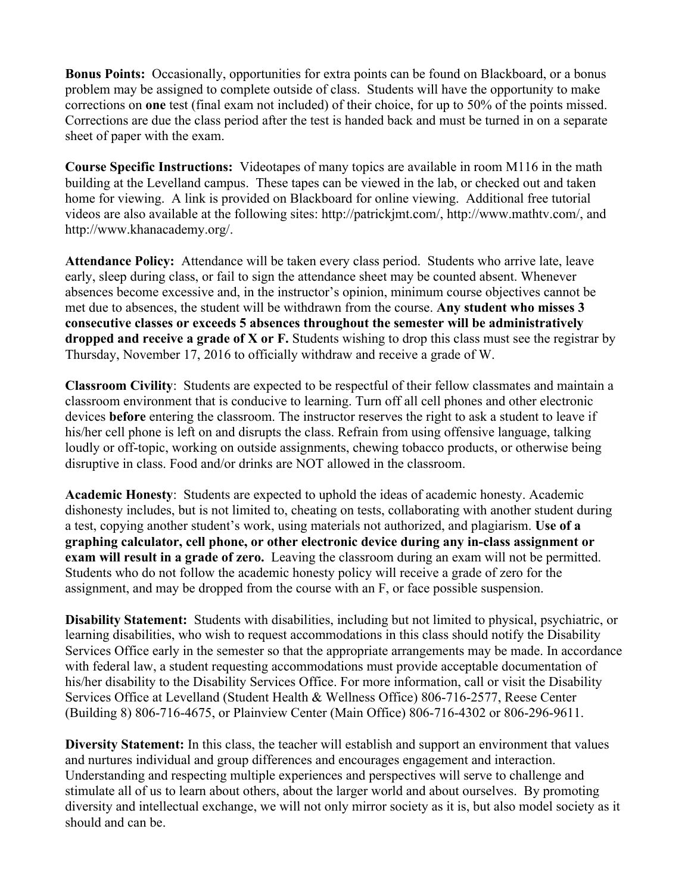**Bonus Points:** Occasionally, opportunities for extra points can be found on Blackboard, or a bonus problem may be assigned to complete outside of class. Students will have the opportunity to make corrections on **one** test (final exam not included) of their choice, for up to 50% of the points missed. Corrections are due the class period after the test is handed back and must be turned in on a separate sheet of paper with the exam.

**Course Specific Instructions:** Videotapes of many topics are available in room M116 in the math building at the Levelland campus. These tapes can be viewed in the lab, or checked out and taken home for viewing. A link is provided on Blackboard for online viewing. Additional free tutorial videos are also available at the following sites: http://patrickjmt.com/, http://www.mathtv.com/, and http://www.khanacademy.org/.

**Attendance Policy:** Attendance will be taken every class period. Students who arrive late, leave early, sleep during class, or fail to sign the attendance sheet may be counted absent. Whenever absences become excessive and, in the instructor's opinion, minimum course objectives cannot be met due to absences, the student will be withdrawn from the course. **Any student who misses 3 consecutive classes or exceeds 5 absences throughout the semester will be administratively dropped and receive a grade of X or F.** Students wishing to drop this class must see the registrar by Thursday, November 17, 2016 to officially withdraw and receive a grade of W.

**Classroom Civility**:Students are expected to be respectful of their fellow classmates and maintain a classroom environment that is conducive to learning. Turn off all cell phones and other electronic devices **before** entering the classroom. The instructor reserves the right to ask a student to leave if his/her cell phone is left on and disrupts the class. Refrain from using offensive language, talking loudly or off-topic, working on outside assignments, chewing tobacco products, or otherwise being disruptive in class. Food and/or drinks are NOT allowed in the classroom.

**Academic Honesty**: Students are expected to uphold the ideas of academic honesty. Academic dishonesty includes, but is not limited to, cheating on tests, collaborating with another student during a test, copying another student's work, using materials not authorized, and plagiarism. **Use of a graphing calculator, cell phone, or other electronic device during any in-class assignment or exam will result in a grade of zero.** Leaving the classroom during an exam will not be permitted. Students who do not follow the academic honesty policy will receive a grade of zero for the assignment, and may be dropped from the course with an F, or face possible suspension.

**Disability Statement:** Students with disabilities, including but not limited to physical, psychiatric, or learning disabilities, who wish to request accommodations in this class should notify the Disability Services Office early in the semester so that the appropriate arrangements may be made. In accordance with federal law, a student requesting accommodations must provide acceptable documentation of his/her disability to the Disability Services Office. For more information, call or visit the Disability Services Office at Levelland (Student Health & Wellness Office) 806-716-2577, Reese Center (Building 8) 806-716-4675, or Plainview Center (Main Office) 806-716-4302 or 806-296-9611.

**Diversity Statement:** In this class, the teacher will establish and support an environment that values and nurtures individual and group differences and encourages engagement and interaction. Understanding and respecting multiple experiences and perspectives will serve to challenge and stimulate all of us to learn about others, about the larger world and about ourselves. By promoting diversity and intellectual exchange, we will not only mirror society as it is, but also model society as it should and can be.